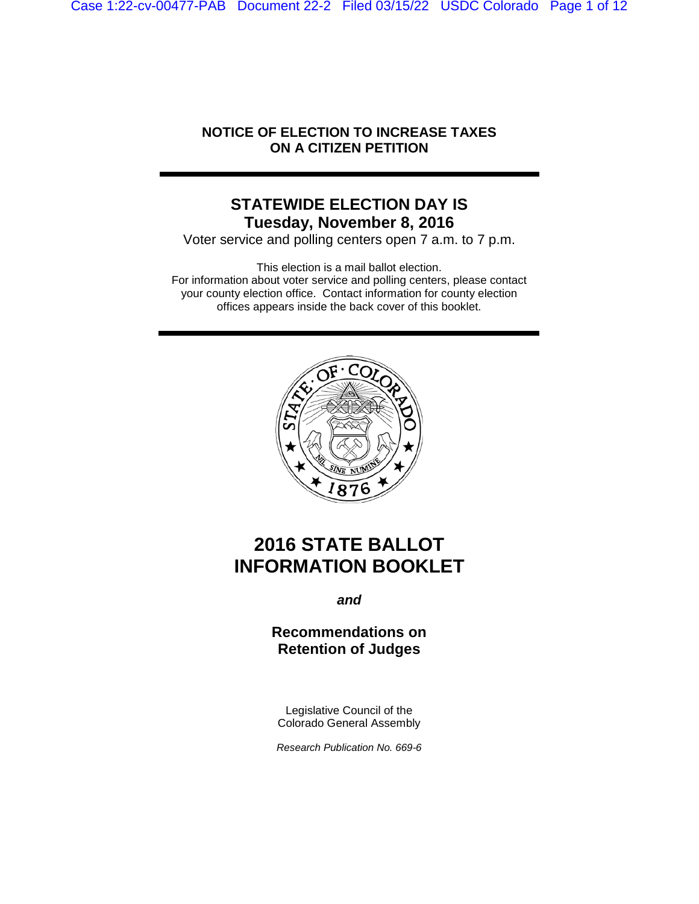Case 1:22-cv-00477-PAB Document 22-2 Filed 03/15/22 USDC Colorado Page 1 of 12

## **NOTICE OF ELECTION TO INCREASE TAXES ON A CITIZEN PETITION**

## **STATEWIDE ELECTION DAY IS Tuesday, November 8, 2016**

Voter service and polling centers open 7 a.m. to 7 p.m.

This election is a mail ballot election. For information about voter service and polling centers, please contact your county election office. Contact information for county election offices appears inside the back cover of this booklet.



# **2016 STATE BALLOT INFORMATION BOOKLET**

*and*

## **Recommendations on Retention of Judges**

Legislative Council of the Colorado General Assembly

*Research Publication No. 669-6*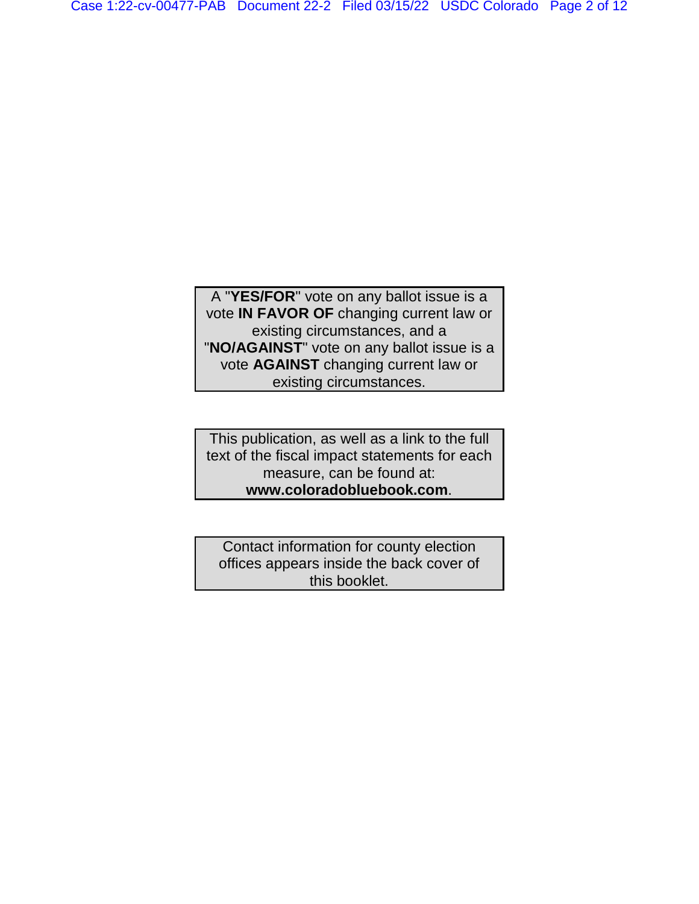A "**YES/FOR**" vote on any ballot issue is a vote **IN FAVOR OF** changing current law or existing circumstances, and a "**NO/AGAINST**" vote on any ballot issue is a vote **AGAINST** changing current law or existing circumstances.

This publication, as well as a link to the full text of the fiscal impact statements for each measure, can be found at: **www.coloradobluebook.com**.

Contact information for county election offices appears inside the back cover of this booklet.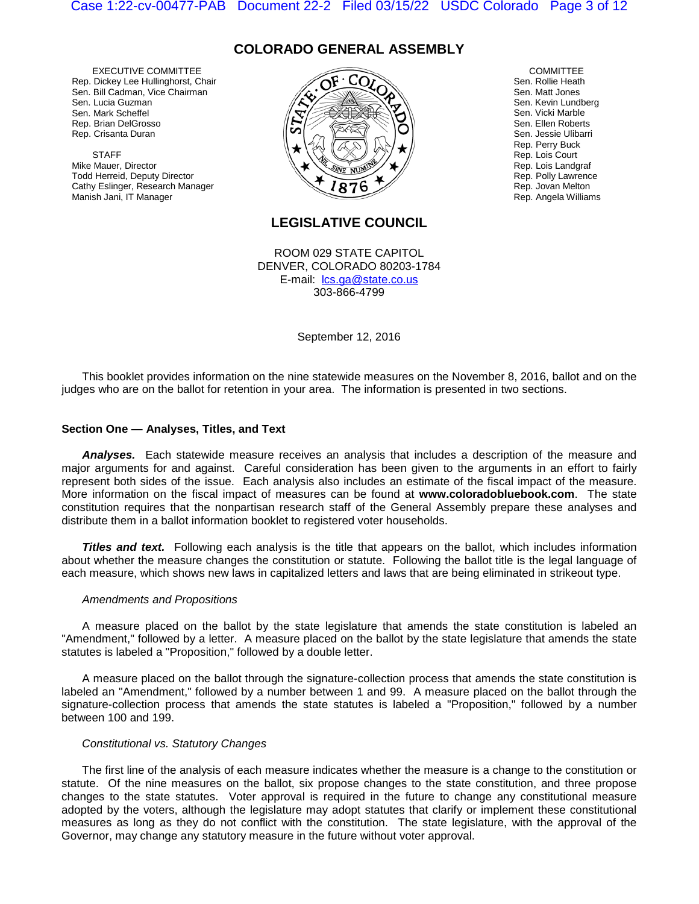## **COLORADO GENERAL ASSEMBLY**

EXECUTIVE COMMITTEE Rep. Dickey Lee Hullinghorst, Chair Sen. Bill Cadman, Vice Chairman Sen. Lucia Guzman Sen. Mark Scheffel Rep. Brian DelGrosso Rep. Crisanta Duran

**STAFF** Mike Mauer, Director Todd Herreid, Deputy Director Cathy Eslinger, Research Manager Manish Jani, IT Manager



**COMMITTEE** Sen. Rollie Heath Sen. Matt Jones Sen. Kevin Lundberg Sen. Vicki Marble Sen. Ellen Roberts Sen. Jessie Ulibarri Rep. Perry Buck Rep. Lois Court Rep. Lois Landgraf Rep. Polly Lawrence Rep. Jovan Melton Rep. Angela Williams

## **LEGISLATIVE COUNCIL**

ROOM 029 STATE CAPITOL DENVER, COLORADO 80203-1784 E-mail: lcs.ga@state.co.us 303-866-4799

September 12, 2016

This booklet provides information on the nine statewide measures on the November 8, 2016, ballot and on the judges who are on the ballot for retention in your area. The information is presented in two sections.

### **Section One — Analyses, Titles, and Text**

*Analyses.* Each statewide measure receives an analysis that includes a description of the measure and major arguments for and against. Careful consideration has been given to the arguments in an effort to fairly represent both sides of the issue. Each analysis also includes an estimate of the fiscal impact of the measure. More information on the fiscal impact of measures can be found at **www.coloradobluebook.com**. The state constitution requires that the nonpartisan research staff of the General Assembly prepare these analyses and distribute them in a ballot information booklet to registered voter households.

**Titles and text.** Following each analysis is the title that appears on the ballot, which includes information about whether the measure changes the constitution or statute. Following the ballot title is the legal language of each measure, which shows new laws in capitalized letters and laws that are being eliminated in strikeout type.

#### *Amendments and Propositions*

A measure placed on the ballot by the state legislature that amends the state constitution is labeled an "Amendment," followed by a letter. A measure placed on the ballot by the state legislature that amends the state statutes is labeled a "Proposition," followed by a double letter.

A measure placed on the ballot through the signature-collection process that amends the state constitution is labeled an "Amendment," followed by a number between 1 and 99. A measure placed on the ballot through the signature-collection process that amends the state statutes is labeled a "Proposition," followed by a number between 100 and 199.

#### *Constitutional vs. Statutory Changes*

The first line of the analysis of each measure indicates whether the measure is a change to the constitution or statute. Of the nine measures on the ballot, six propose changes to the state constitution, and three propose changes to the state statutes. Voter approval is required in the future to change any constitutional measure adopted by the voters, although the legislature may adopt statutes that clarify or implement these constitutional measures as long as they do not conflict with the constitution. The state legislature, with the approval of the Governor, may change any statutory measure in the future without voter approval.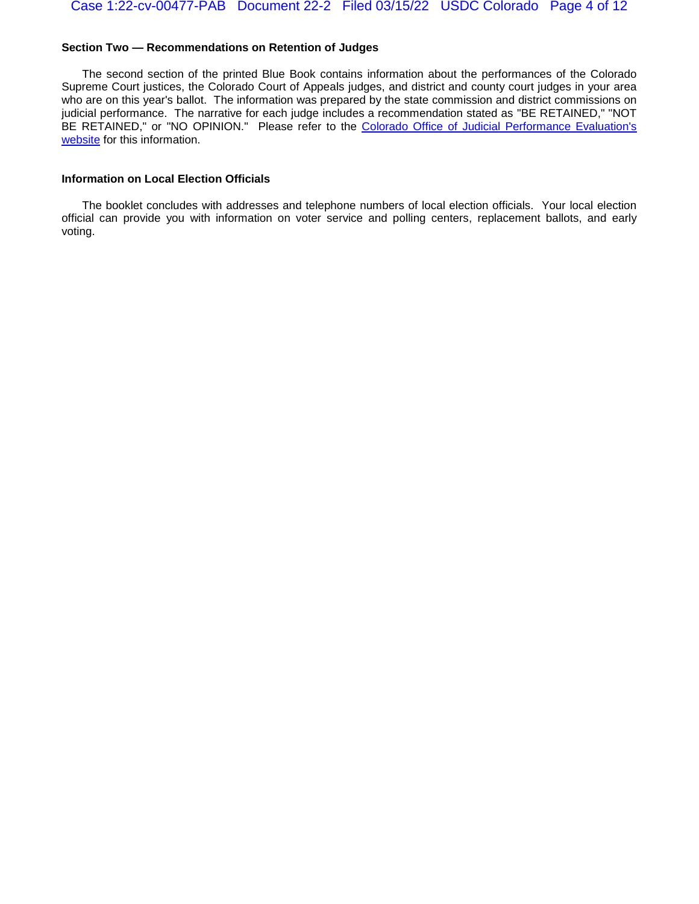### **Section Two — Recommendations on Retention of Judges**

The second section of the printed Blue Book contains information about the performances of the Colorado Supreme Court justices, the Colorado Court of Appeals judges, and district and county court judges in your area who are on this year's ballot. The information was prepared by the state commission and district commissions on judicial performance. The narrative for each judge includes a recommendation stated as "BE RETAINED," "NOT BE RETAINED," or "NO OPINION." Please refer to the Colorado Office of Judicial Performance Evaluation's [website](http://www.coloradojudicialperformance.gov/review.cfm?year=2016) for this information.

### **Information on Local Election Officials**

The booklet concludes with addresses and telephone numbers of local election officials. Your local election official can provide you with information on voter service and polling centers, replacement ballots, and early voting.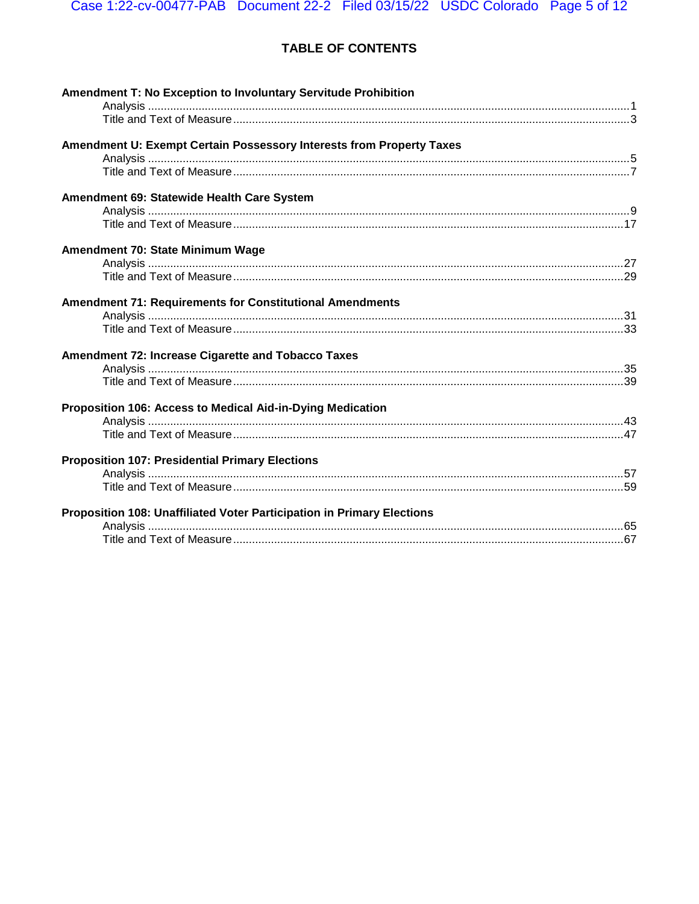## TABLE OF CONTENTS

| Amendment T: No Exception to Involuntary Servitude Prohibition         |  |
|------------------------------------------------------------------------|--|
|                                                                        |  |
| Amendment U: Exempt Certain Possessory Interests from Property Taxes   |  |
|                                                                        |  |
|                                                                        |  |
| Amendment 69: Statewide Health Care System                             |  |
|                                                                        |  |
|                                                                        |  |
| Amendment 70: State Minimum Wage                                       |  |
|                                                                        |  |
|                                                                        |  |
| <b>Amendment 71: Requirements for Constitutional Amendments</b>        |  |
|                                                                        |  |
|                                                                        |  |
| Amendment 72: Increase Cigarette and Tobacco Taxes                     |  |
|                                                                        |  |
|                                                                        |  |
| Proposition 106: Access to Medical Aid-in-Dying Medication             |  |
|                                                                        |  |
|                                                                        |  |
| <b>Proposition 107: Presidential Primary Elections</b>                 |  |
|                                                                        |  |
|                                                                        |  |
| Proposition 108: Unaffiliated Voter Participation in Primary Elections |  |
|                                                                        |  |
|                                                                        |  |
|                                                                        |  |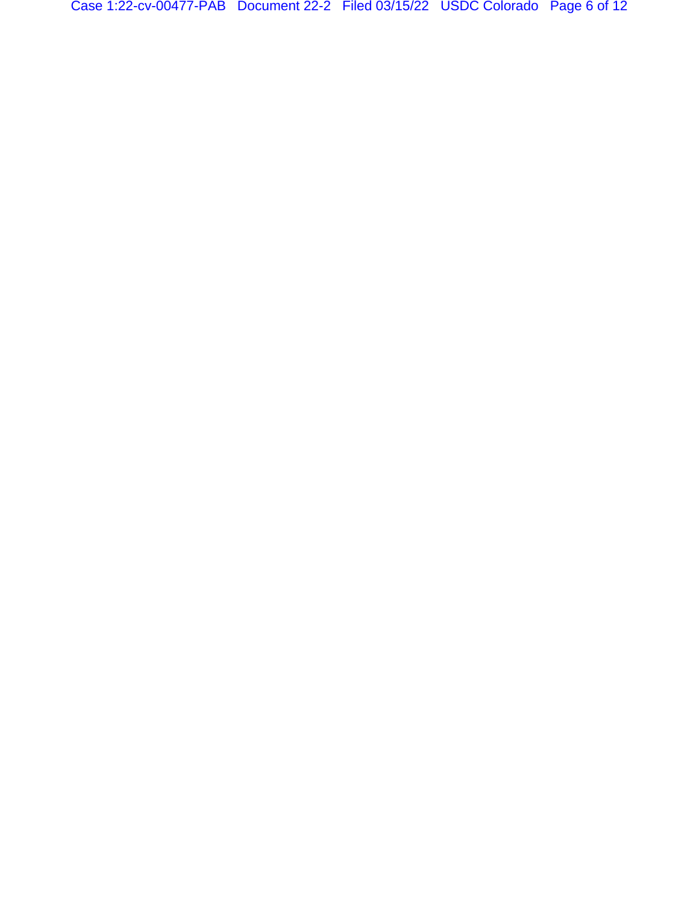Case 1:22-cv-00477-PAB Document 22-2 Filed 03/15/22 USDC Colorado Page 6 of 12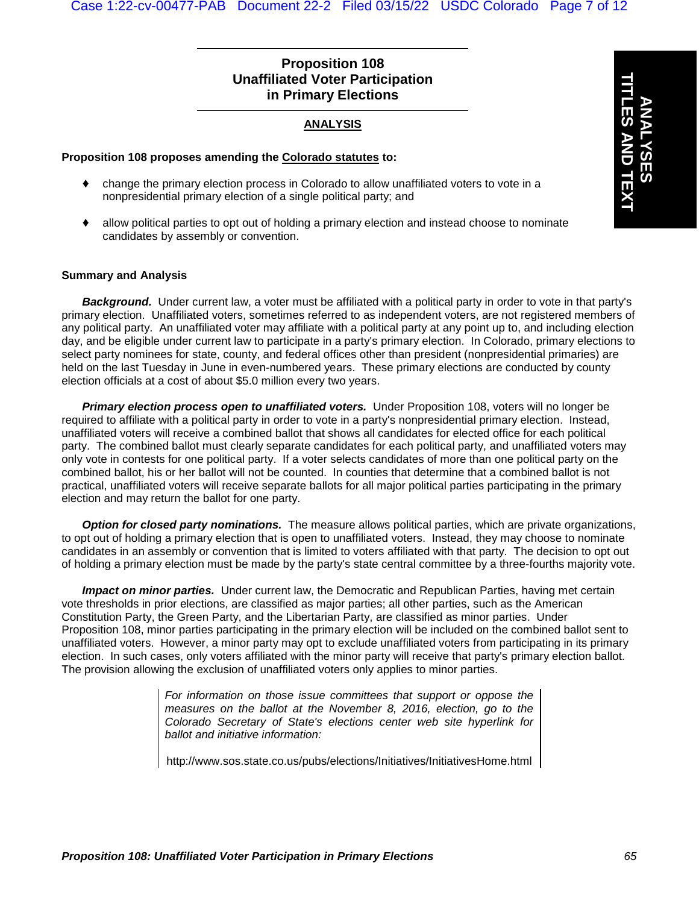## **Proposition 108 Unaffiliated Voter Participation in Primary Elections**

## **ANALYSIS**

## **Proposition 108 proposes amending the Colorado statutes to:**

- change the primary election process in Colorado to allow unaffiliated voters to vote in a nonpresidential primary election of a single political party; and
- allow political parties to opt out of holding a primary election and instead choose to nominate candidates by assembly or convention.

## **Summary and Analysis**

*Background.* Under current law, a voter must be affiliated with a political party in order to vote in that party's primary election. Unaffiliated voters, sometimes referred to as independent voters, are not registered members of any political party. An unaffiliated voter may affiliate with a political party at any point up to, and including election day, and be eligible under current law to participate in a party's primary election. In Colorado, primary elections to select party nominees for state, county, and federal offices other than president (nonpresidential primaries) are held on the last Tuesday in June in even-numbered years. These primary elections are conducted by county election officials at a cost of about \$5.0 million every two years.

*Primary election process open to unaffiliated voters.* Under Proposition 108, voters will no longer be required to affiliate with a political party in order to vote in a party's nonpresidential primary election. Instead, unaffiliated voters will receive a combined ballot that shows all candidates for elected office for each political party. The combined ballot must clearly separate candidates for each political party, and unaffiliated voters may only vote in contests for one political party. If a voter selects candidates of more than one political party on the combined ballot, his or her ballot will not be counted. In counties that determine that a combined ballot is not practical, unaffiliated voters will receive separate ballots for all major political parties participating in the primary election and may return the ballot for one party.

*Option for closed party nominations.* The measure allows political parties, which are private organizations, to opt out of holding a primary election that is open to unaffiliated voters. Instead, they may choose to nominate candidates in an assembly or convention that is limited to voters affiliated with that party. The decision to opt out of holding a primary election must be made by the party's state central committee by a three-fourths majority vote.

*Impact on minor parties.* Under current law, the Democratic and Republican Parties, having met certain vote thresholds in prior elections, are classified as major parties; all other parties, such as the American Constitution Party, the Green Party, and the Libertarian Party, are classified as minor parties. Under Proposition 108, minor parties participating in the primary election will be included on the combined ballot sent to unaffiliated voters. However, a minor party may opt to exclude unaffiliated voters from participating in its primary election. In such cases, only voters affiliated with the minor party will receive that party's primary election ballot. The provision allowing the exclusion of unaffiliated voters only applies to minor parties.

> *For information on those issue committees that support or oppose the measures on the ballot at the November 8, 2016, election, go to the Colorado Secretary of State's elections center web site hyperlink for ballot and initiative information:*

> http://www.sos.state.co.us/pubs/elections/Initiatives/InitiativesHome.html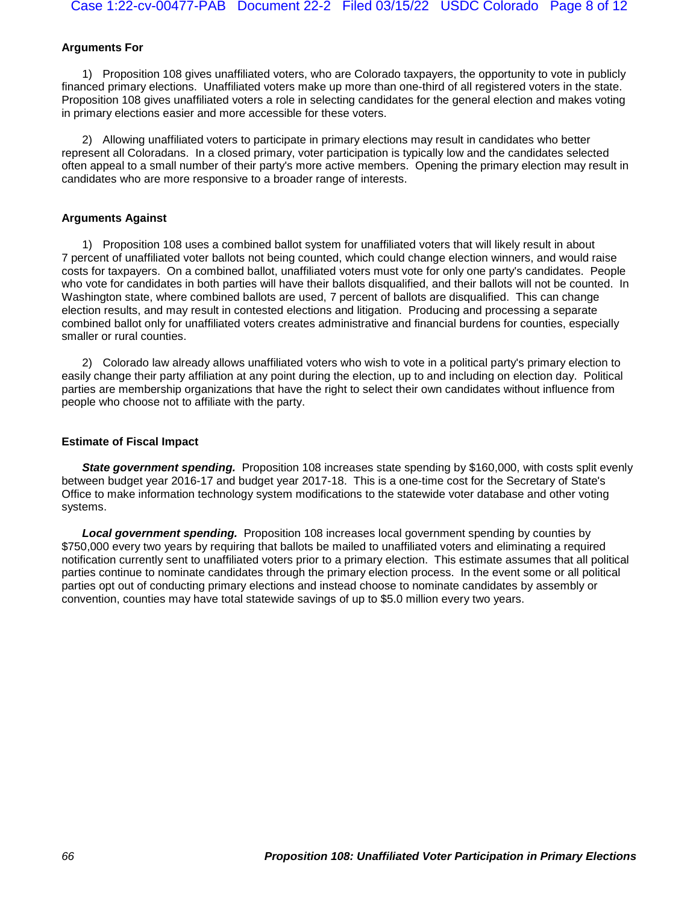## **Arguments For**

1) Proposition 108 gives unaffiliated voters, who are Colorado taxpayers, the opportunity to vote in publicly financed primary elections. Unaffiliated voters make up more than one-third of all registered voters in the state. Proposition 108 gives unaffiliated voters a role in selecting candidates for the general election and makes voting in primary elections easier and more accessible for these voters.

2) Allowing unaffiliated voters to participate in primary elections may result in candidates who better represent all Coloradans. In a closed primary, voter participation is typically low and the candidates selected often appeal to a small number of their party's more active members. Opening the primary election may result in candidates who are more responsive to a broader range of interests.

### **Arguments Against**

1) Proposition 108 uses a combined ballot system for unaffiliated voters that will likely result in about 7 percent of unaffiliated voter ballots not being counted, which could change election winners, and would raise costs for taxpayers. On a combined ballot, unaffiliated voters must vote for only one party's candidates. People who vote for candidates in both parties will have their ballots disqualified, and their ballots will not be counted. In Washington state, where combined ballots are used, 7 percent of ballots are disqualified. This can change election results, and may result in contested elections and litigation. Producing and processing a separate combined ballot only for unaffiliated voters creates administrative and financial burdens for counties, especially smaller or rural counties.

2) Colorado law already allows unaffiliated voters who wish to vote in a political party's primary election to easily change their party affiliation at any point during the election, up to and including on election day. Political parties are membership organizations that have the right to select their own candidates without influence from people who choose not to affiliate with the party.

### **Estimate of Fiscal Impact**

**State government spending.** Proposition 108 increases state spending by \$160,000, with costs split evenly between budget year 2016-17 and budget year 2017-18. This is a one-time cost for the Secretary of State's Office to make information technology system modifications to the statewide voter database and other voting systems.

*Local government spending.* Proposition 108 increases local government spending by counties by \$750,000 every two years by requiring that ballots be mailed to unaffiliated voters and eliminating a required notification currently sent to unaffiliated voters prior to a primary election. This estimate assumes that all political parties continue to nominate candidates through the primary election process. In the event some or all political parties opt out of conducting primary elections and instead choose to nominate candidates by assembly or convention, counties may have total statewide savings of up to \$5.0 million every two years.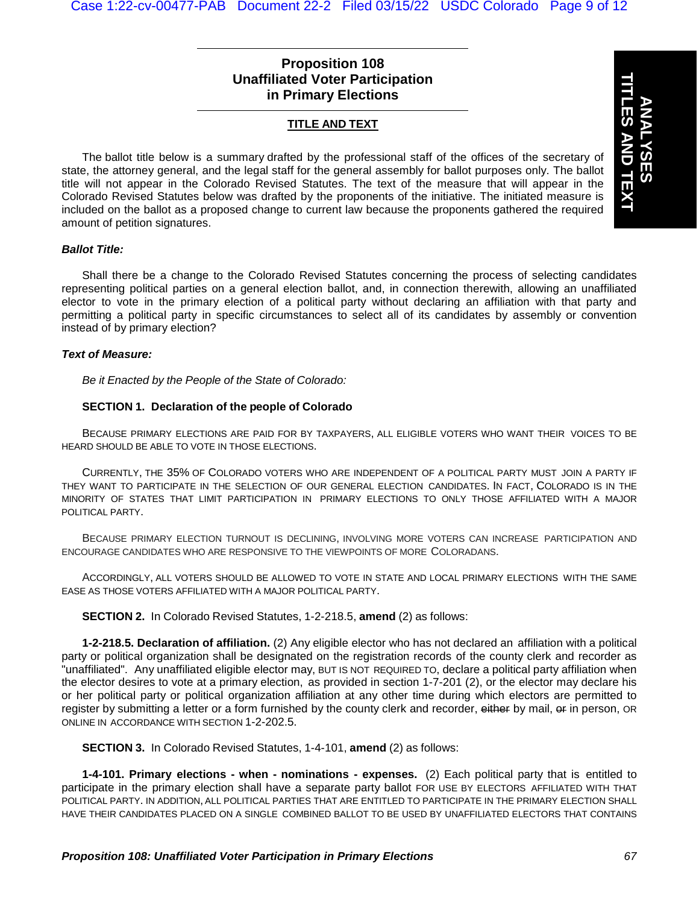## **Proposition 108 Unaffiliated Voter Participation in Primary Elections**

## **TITLE AND TEXT**

The ballot title below is a summary drafted by the professional staff of the offices of the secretary of state, the attorney general, and the legal staff for the general assembly for ballot purposes only. The ballot title will not appear in the Colorado Revised Statutes. The text of the measure that will appear in the Colorado Revised Statutes below was drafted by the proponents of the initiative. The initiated measure is included on the ballot as a proposed change to current law because the proponents gathered the required amount of petition signatures.

#### *Ballot Title:*

Shall there be a change to the Colorado Revised Statutes concerning the process of selecting candidates representing political parties on a general election ballot, and, in connection therewith, allowing an unaffiliated elector to vote in the primary election of a political party without declaring an affiliation with that party and permitting a political party in specific circumstances to select all of its candidates by assembly or convention instead of by primary election?

#### *Text of Measure:*

*Be it Enacted by the People of the State of Colorado:*

### **SECTION 1. Declaration of the people of Colorado**

BECAUSE PRIMARY ELECTIONS ARE PAID FOR BY TAXPAYERS, ALL ELIGIBLE VOTERS WHO WANT THEIR VOICES TO BE HEARD SHOULD BE ABLE TO VOTE IN THOSE ELECTIONS.

CURRENTLY, THE 35% OF COLORADO VOTERS WHO ARE INDEPENDENT OF A POLITICAL PARTY MUST JOIN A PARTY IF THEY WANT TO PARTICIPATE IN THE SELECTION OF OUR GENERAL ELECTION CANDIDATES. IN FACT, COLORADO IS IN THE MINORITY OF STATES THAT LIMIT PARTICIPATION IN PRIMARY ELECTIONS TO ONLY THOSE AFFILIATED WITH A MAJOR POLITICAL PARTY.

BECAUSE PRIMARY ELECTION TURNOUT IS DECLINING, INVOLVING MORE VOTERS CAN INCREASE PARTICIPATION AND ENCOURAGE CANDIDATES WHO ARE RESPONSIVE TO THE VIEWPOINTS OF MORE COLORADANS.

ACCORDINGLY, ALL VOTERS SHOULD BE ALLOWED TO VOTE IN STATE AND LOCAL PRIMARY ELECTIONS WITH THE SAME EASE AS THOSE VOTERS AFFILIATED WITH A MAJOR POLITICAL PARTY.

**SECTION 2.** In Colorado Revised Statutes, 1-2-218.5, **amend** (2) as follows:

**1-2-218.5. Declaration of affiliation.** (2) Any eligible elector who has not declared an affiliation with a political party or political organization shall be designated on the registration records of the county clerk and recorder as "unaffiliated". Any unaffiliated eligible elector may, BUT IS NOT REQUIRED TO, declare a political party affiliation when the elector desires to vote at a primary election, as provided in section 1-7-201 (2), or the elector may declare his or her political party or political organization affiliation at any other time during which electors are permitted to register by submitting a letter or a form furnished by the county clerk and recorder, either by mail, er in person, OR ONLINE IN ACCORDANCE WITH SECTION 1-2-202.5.

**SECTION 3.** In Colorado Revised Statutes, 1-4-101, **amend** (2) as follows:

**1-4-101. Primary elections - when - nominations - expenses.** (2) Each political party that is entitled to participate in the primary election shall have a separate party ballot FOR USE BY ELECTORS AFFILIATED WITH THAT POLITICAL PARTY. IN ADDITION, ALL POLITICAL PARTIES THAT ARE ENTITLED TO PARTICIPATE IN THE PRIMARY ELECTION SHALL HAVE THEIR CANDIDATES PLACED ON A SINGLE COMBINED BALLOT TO BE USED BY UNAFFILIATED ELECTORS THAT CONTAINS

**ANALYSES**

**TITLES AND TEXT**

**ES AND TEXT**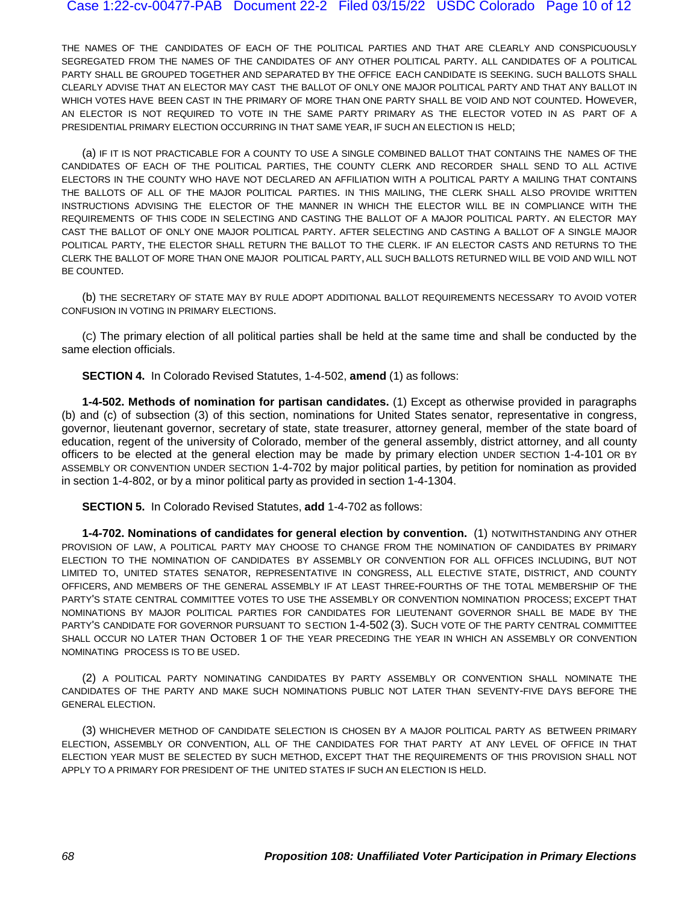THE NAMES OF THE CANDIDATES OF EACH OF THE POLITICAL PARTIES AND THAT ARE CLEARLY AND CONSPICUOUSLY SEGREGATED FROM THE NAMES OF THE CANDIDATES OF ANY OTHER POLITICAL PARTY. ALL CANDIDATES OF A POLITICAL PARTY SHALL BE GROUPED TOGETHER AND SEPARATED BY THE OFFICE EACH CANDIDATE IS SEEKING. SUCH BALLOTS SHALL CLEARLY ADVISE THAT AN ELECTOR MAY CAST THE BALLOT OF ONLY ONE MAJOR POLITICAL PARTY AND THAT ANY BALLOT IN WHICH VOTES HAVE BEEN CAST IN THE PRIMARY OF MORE THAN ONE PARTY SHALL BE VOID AND NOT COUNTED. HOWEVER, AN ELECTOR IS NOT REQUIRED TO VOTE IN THE SAME PARTY PRIMARY AS THE ELECTOR VOTED IN AS PART OF A PRESIDENTIAL PRIMARY ELECTION OCCURRING IN THAT SAME YEAR, IF SUCH AN ELECTION IS HELD;

(a) IF IT IS NOT PRACTICABLE FOR A COUNTY TO USE A SINGLE COMBINED BALLOT THAT CONTAINS THE NAMES OF THE CANDIDATES OF EACH OF THE POLITICAL PARTIES, THE COUNTY CLERK AND RECORDER SHALL SEND TO ALL ACTIVE ELECTORS IN THE COUNTY WHO HAVE NOT DECLARED AN AFFILIATION WITH A POLITICAL PARTY A MAILING THAT CONTAINS THE BALLOTS OF ALL OF THE MAJOR POLITICAL PARTIES. IN THIS MAILING, THE CLERK SHALL ALSO PROVIDE WRITTEN INSTRUCTIONS ADVISING THE ELECTOR OF THE MANNER IN WHICH THE ELECTOR WILL BE IN COMPLIANCE WITH THE REQUIREMENTS OF THIS CODE IN SELECTING AND CASTING THE BALLOT OF A MAJOR POLITICAL PARTY. AN ELECTOR MAY CAST THE BALLOT OF ONLY ONE MAJOR POLITICAL PARTY. AFTER SELECTING AND CASTING A BALLOT OF A SINGLE MAJOR POLITICAL PARTY, THE ELECTOR SHALL RETURN THE BALLOT TO THE CLERK. IF AN ELECTOR CASTS AND RETURNS TO THE CLERK THE BALLOT OF MORE THAN ONE MAJOR POLITICAL PARTY, ALL SUCH BALLOTS RETURNED WILL BE VOID AND WILL NOT BE COUNTED.

(b) THE SECRETARY OF STATE MAY BY RULE ADOPT ADDITIONAL BALLOT REQUIREMENTS NECESSARY TO AVOID VOTER CONFUSION IN VOTING IN PRIMARY ELECTIONS.

(C) The primary election of all political parties shall be held at the same time and shall be conducted by the same election officials.

**SECTION 4.** In Colorado Revised Statutes, 1-4-502, **amend** (1) as follows:

**1-4-502. Methods of nomination for partisan candidates.** (1) Except as otherwise provided in paragraphs (b) and (c) of subsection (3) of this section, nominations for United States senator, representative in congress, governor, lieutenant governor, secretary of state, state treasurer, attorney general, member of the state board of education, regent of the university of Colorado, member of the general assembly, district attorney, and all county officers to be elected at the general election may be made by primary election UNDER SECTION 1-4-101 OR BY ASSEMBLY OR CONVENTION UNDER SECTION 1-4-702 by major political parties, by petition for nomination as provided in section 1-4-802, or by a minor political party as provided in section 1-4-1304.

**SECTION 5.** In Colorado Revised Statutes, **add** 1-4-702 as follows:

**1-4-702. Nominations of candidates for general election by convention.** (1) NOTWITHSTANDING ANY OTHER PROVISION OF LAW, A POLITICAL PARTY MAY CHOOSE TO CHANGE FROM THE NOMINATION OF CANDIDATES BY PRIMARY ELECTION TO THE NOMINATION OF CANDIDATES BY ASSEMBLY OR CONVENTION FOR ALL OFFICES INCLUDING, BUT NOT LIMITED TO, UNITED STATES SENATOR, REPRESENTATIVE IN CONGRESS, ALL ELECTIVE STATE, DISTRICT, AND COUNTY OFFICERS, AND MEMBERS OF THE GENERAL ASSEMBLY IF AT LEAST THREE-FOURTHS OF THE TOTAL MEMBERSHIP OF THE PARTY'S STATE CENTRAL COMMITTEE VOTES TO USE THE ASSEMBLY OR CONVENTION NOMINATION PROCESS; EXCEPT THAT NOMINATIONS BY MAJOR POLITICAL PARTIES FOR CANDIDATES FOR LIEUTENANT GOVERNOR SHALL BE MADE BY THE PARTY'S CANDIDATE FOR GOVERNOR PURSUANT TO SECTION 1-4-502 (3). SUCH VOTE OF THE PARTY CENTRAL COMMITTEE SHALL OCCUR NO LATER THAN OCTOBER 1 OF THE YEAR PRECEDING THE YEAR IN WHICH AN ASSEMBLY OR CONVENTION NOMINATING PROCESS IS TO BE USED.

(2) A POLITICAL PARTY NOMINATING CANDIDATES BY PARTY ASSEMBLY OR CONVENTION SHALL NOMINATE THE CANDIDATES OF THE PARTY AND MAKE SUCH NOMINATIONS PUBLIC NOT LATER THAN SEVENTY-FIVE DAYS BEFORE THE GENERAL ELECTION.

(3) WHICHEVER METHOD OF CANDIDATE SELECTION IS CHOSEN BY A MAJOR POLITICAL PARTY AS BETWEEN PRIMARY ELECTION, ASSEMBLY OR CONVENTION, ALL OF THE CANDIDATES FOR THAT PARTY AT ANY LEVEL OF OFFICE IN THAT ELECTION YEAR MUST BE SELECTED BY SUCH METHOD, EXCEPT THAT THE REQUIREMENTS OF THIS PROVISION SHALL NOT APPLY TO A PRIMARY FOR PRESIDENT OF THE UNITED STATES IF SUCH AN ELECTION IS HELD.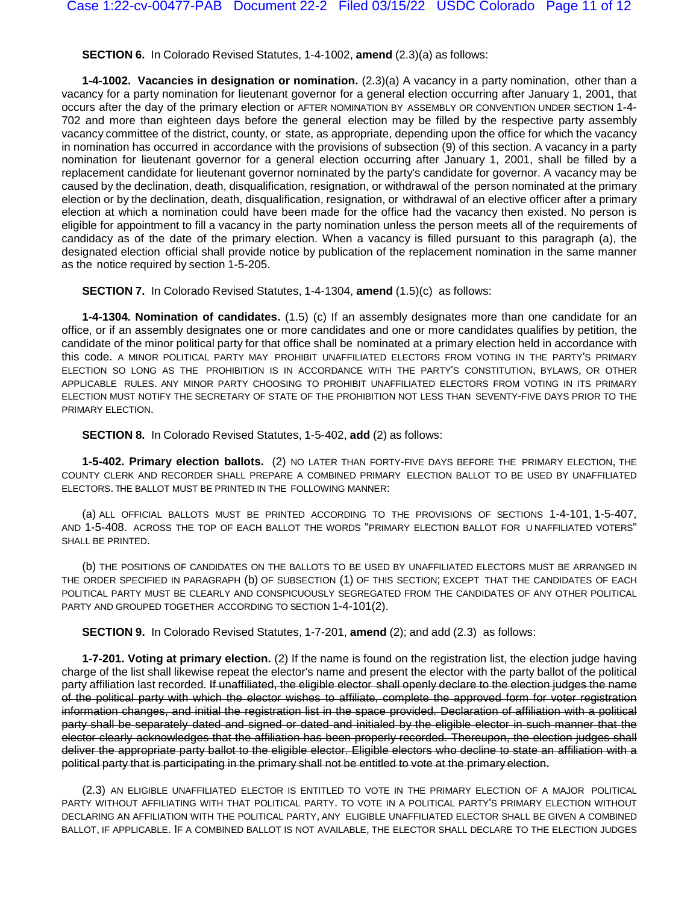**SECTION 6.** In Colorado Revised Statutes, 1-4-1002, **amend** (2.3)(a) as follows:

**1-4-1002. Vacancies in designation or nomination.** (2.3)(a) A vacancy in a party nomination, other than a vacancy for a party nomination for lieutenant governor for a general election occurring after January 1, 2001, that occurs after the day of the primary election or AFTER NOMINATION BY ASSEMBLY OR CONVENTION UNDER SECTION 1-4- 702 and more than eighteen days before the general election may be filled by the respective party assembly vacancy committee of the district, county, or state, as appropriate, depending upon the office for which the vacancy in nomination has occurred in accordance with the provisions of subsection (9) of this section. A vacancy in a party nomination for lieutenant governor for a general election occurring after January 1, 2001, shall be filled by a replacement candidate for lieutenant governor nominated by the party's candidate for governor. A vacancy may be caused by the declination, death, disqualification, resignation, or withdrawal of the person nominated at the primary election or by the declination, death, disqualification, resignation, or withdrawal of an elective officer after a primary election at which a nomination could have been made for the office had the vacancy then existed. No person is eligible for appointment to fill a vacancy in the party nomination unless the person meets all of the requirements of candidacy as of the date of the primary election. When a vacancy is filled pursuant to this paragraph (a), the designated election official shall provide notice by publication of the replacement nomination in the same manner as the notice required by section [1-5-205.](http://web.lexisnexis.com/research/buttonTFLink?_m=a27794a430dd03e7a3c1495740aa6528&_xfercite=%3ccite%20cc%3d%22USA%22%3e%3c%21%5bCDATA%5bC.R.S.%201-4-1002%5d%5d%3e%3c%2fcite%3e&_butType=4&_butStat=0&_butNum=2&_butInline=1&_butinfo=COCODE%201-5-205&_fmtstr=FULL&docnum=6&_startdoc=1&wchp=dGLbVzB-zSkAb&_md5=5583209ea29711073a1d96c5e6ce2d71)

**SECTION 7.** In Colorado Revised Statutes, 1-4-1304, **amend** (1.5)(c) as follows:

**1-4-1304. Nomination of candidates.** (1.5) (c) If an assembly designates more than one candidate for an office, or if an assembly designates one or more candidates and one or more candidates qualifies by petition, the candidate of the minor political party for that office shall be nominated at a primary election held in accordance with this code. A MINOR POLITICAL PARTY MAY PROHIBIT UNAFFILIATED ELECTORS FROM VOTING IN THE PARTY'S PRIMARY ELECTION SO LONG AS THE PROHIBITION IS IN ACCORDANCE WITH THE PARTY'S CONSTITUTION, BYLAWS, OR OTHER APPLICABLE RULES. ANY MINOR PARTY CHOOSING TO PROHIBIT UNAFFILIATED ELECTORS FROM VOTING IN ITS PRIMARY ELECTION MUST NOTIFY THE SECRETARY OF STATE OF THE PROHIBITION NOT LESS THAN SEVENTY-FIVE DAYS PRIOR TO THE PRIMARY ELECTION.

**SECTION 8.** In Colorado Revised Statutes, 1-5-402, **add** (2) as follows:

**1-5-402. Primary election ballots.** (2) NO LATER THAN FORTY-FIVE DAYS BEFORE THE PRIMARY ELECTION, THE COUNTY CLERK AND RECORDER SHALL PREPARE A COMBINED PRIMARY ELECTION BALLOT TO BE USED BY UNAFFILIATED ELECTORS. THE BALLOT MUST BE PRINTED IN THE FOLLOWING MANNER:

(a) ALL OFFICIAL BALLOTS MUST BE PRINTED ACCORDING TO THE PROVISIONS OF SECTIONS 1-4-101, 1-5-407, AND 1-5-408. ACROSS THE TOP OF EACH BALLOT THE WORDS "PRIMARY ELECTION BALLOT FOR U NAFFILIATED VOTERS" SHALL BE PRINTED.

(b) THE POSITIONS OF CANDIDATES ON THE BALLOTS TO BE USED BY UNAFFILIATED ELECTORS MUST BE ARRANGED IN THE ORDER SPECIFIED IN PARAGRAPH (b) OF SUBSECTION (1) OF THIS SECTION; EXCEPT THAT THE CANDIDATES OF EACH POLITICAL PARTY MUST BE CLEARLY AND CONSPICUOUSLY SEGREGATED FROM THE CANDIDATES OF ANY OTHER POLITICAL PARTY AND GROUPED TOGETHER ACCORDING TO SECTION 1-4-101(2).

**SECTION 9.** In Colorado Revised Statutes, 1-7-201, **amend** (2); and add (2.3) as follows:

**1-7-201. Voting at primary election.** (2) If the name is found on the registration list, the election judge having charge of the list shall likewise repeat the elector's name and present the elector with the party ballot of the political party affiliation last recorded. If unaffiliated, the eligible elector shall openly declare to the election judges the name of the political party with which the elector wishes to affiliate, complete the approved form for voter registration information changes, and initial the registration list in the space provided. Declaration of affiliation with a political party shall be separately dated and signed or dated and initialed by the eligible elector in such manner that the elector clearly acknowledges that the affiliation has been properly recorded. Thereupon, the election judges shall deliver the appropriate party ballot to the eligible elector. Eligible electors who decline to state an affiliation with a political party that is participating in the primary shall not be entitled to vote at the primary election.

(2.3) AN ELIGIBLE UNAFFILIATED ELECTOR IS ENTITLED TO VOTE IN THE PRIMARY ELECTION OF A MAJOR POLITICAL PARTY WITHOUT AFFILIATING WITH THAT POLITICAL PARTY. TO VOTE IN A POLITICAL PARTY'S PRIMARY ELECTION WITHOUT DECLARING AN AFFILIATION WITH THE POLITICAL PARTY, ANY ELIGIBLE UNAFFILIATED ELECTOR SHALL BE GIVEN A COMBINED BALLOT, IF APPLICABLE. IF A COMBINED BALLOT IS NOT AVAILABLE, THE ELECTOR SHALL DECLARE TO THE ELECTION JUDGES